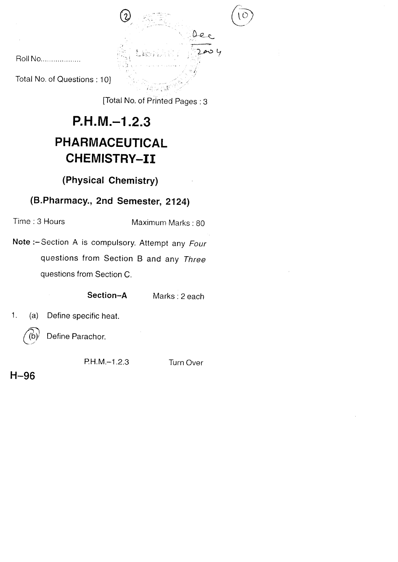Roll No, ... ... ... ... .....

Total No. of Questions : 10]

 $\mathcal{S} \triangleleft \cup \mathcal{S} \subset \mathcal{S}$ [Total No. of Printed pages :3

 $\frac{a}{b}$ 

, 설시<br>(4시시스 : Herri Grammer *(1985)* 

 $\mathbb{R}^n \to \mathbb{R}$ 

;

 $\bigcirc$   $\bigcirc$ 

# $P.H.M. -1.2.3$ PHARMACEUTICAL CHEMISTRY-II

## (Physicat Chemistry)

## (B.Pharmacy., 2nd Semester, 2124)

Time : 3 Hours Maximum Marks: 80

Note:-Section A is compulsory. Attempt any Four questions from Section B and any Three questions from Section C.

Section-A Marks: 2 each

1. (a) Define specific heat.

 $(b)$  Define Parachor.

PH.M.-1.2.3 Turn Over

H-96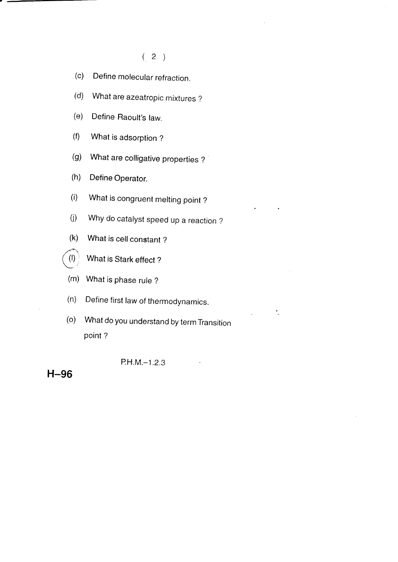#### $(2)$

- (c) Define molecular refraction.
- (d) What are azeatropic mixtures ?
- (e) Define Raoult's law.
- (f) What is adsorption ?
- (g) What are colligative properties ?
- (h) Define Operator.
- (i) What is congruent melting point ?
- (j) Why do catalyst speed up a reaction ?
- $(k)$  What is cell constant ?



- (m) What is phase rule ?
- (n) Define first law of thermodynamics.
- (o) What do you understand by term Transition point ?

 $\ddot{\phantom{1}}$ 

P.H.M.-1.2.3

#### H-96